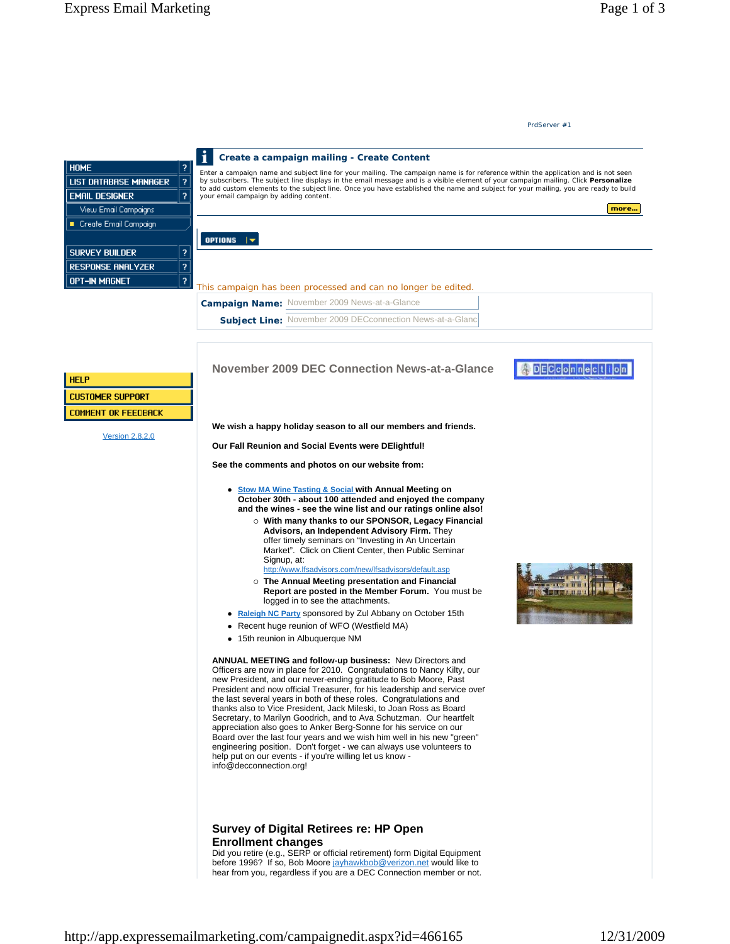**We wish a happy holiday season to all our members and friends.**

**Our Fall Reunion and Social Events were DElightful!** 

**See the comments and photos on our website from:**

- **Stow MA Wine Tasting & Social with Annual Meeting on October 30th - about 100 attended and enjoyed the company and the wines - see the wine list and our ratings online also!** 
	- { **With many thanks to our SPONSOR, Legacy Financial Advisors, an Independent Advisory Firm.** They offer timely seminars on "Investing in An Uncertain Market". Click on Client Center, then Public Seminar Signup, at:

http://www.lfsadvisors.com/new/lfsadvisors/default.asp

- { **The Annual Meeting presentation and Financial Report are posted in the Member Forum.** You must be logged in to see the attachments.
- Raleigh NC Party sponsored by Zul Abbany on October 15th
- Recent huge reunion of WFO (Westfield MA)
- 15th reunion in Albuquerque NM

**ANNUAL MEETING and follow-up business:** New Directors and Officers are now in place for 2010. Congratulations to Nancy Kilty, our new President, and our never-ending gratitude to Bob Moore, Past President and now official Treasurer, for his leadership and service over the last several years in both of these roles. Congratulations and thanks also to Vice President, Jack Mileski, to Joan Ross as Board Secretary, to Marilyn Goodrich, and to Ava Schutzman. Our heartfelt appreciation also goes to Anker Berg-Sonne for his service on our Board over the last four years and we wish him well in his new "green" engineering position. Don't forget - we can always use volunteers to help put on our events - if you're willing let us know info@decconnection.org!

## **Survey of Digital Retirees re: HP Open Enrollment changes**

Did you retire (e.g., SERP or official retirement) form Digital Equipment before 1996? If so, Bob Moore jayhawkbob@verizon.net would like to hear from you, regardless if you are a DEC Connection member or not.



DECconnection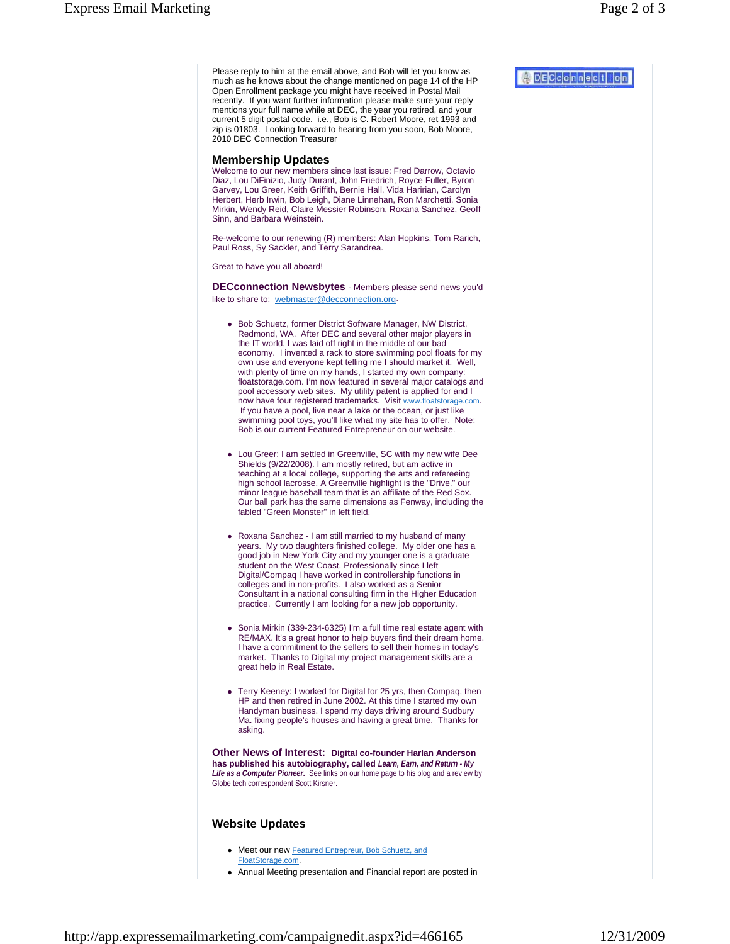Please reply to him at the email above, and Bob will let you know as much as he knows about the change mentioned on page 14 of the HP Open Enrollment package you might have received in Postal Mail recently. If you want further information please make sure your reply mentions your full name while at DEC, the year you retired, and your current 5 digit postal code. i.e., Bob is C. Robert Moore, ret 1993 and zip is 01803. Looking forward to hearing from you soon, Bob Moore, 2010 DEC Connection Treasurer

## **Membership Updates**

Welcome to our new members since last issue: Fred Darrow, Octavio Diaz, Lou DiFinizio, Judy Durant, John Friedrich, Royce Fuller, Byron Garvey, Lou Greer, Keith Griffith, Bernie Hall, Vida Haririan, Carolyn Herbert, Herb Irwin, Bob Leigh, Diane Linnehan, Ron Marchetti, Sonia Mirkin, Wendy Reid, Claire Messier Robinson, Roxana Sanchez, Geoff Sinn, and Barbara Weinstein.

Re-welcome to our renewing (R) members: Alan Hopkins, Tom Rarich, Paul Ross, Sy Sackler, and Terry Sarandrea.

Great to have you all aboard!

**DECconnection Newsbytes** - Members please send news you'd like to share to: webmaster@decconnection.org.

- Bob Schuetz, former District Software Manager, NW District, Redmond, WA. After DEC and several other major players in the IT world, I was laid off right in the middle of our bad economy. I invented a rack to store swimming pool floats for my own use and everyone kept telling me I should market it. Well, with plenty of time on my hands, I started my own company: floatstorage.com. I'm now featured in several major catalogs and pool accessory web sites. My utility patent is applied for and I now have four registered trademarks. Visit www.floatstorage.com. If you have a pool, live near a lake or the ocean, or just like swimming pool toys, you'll like what my site has to offer. Note: Bob is our current Featured Entrepreneur on our website.
- Lou Greer: I am settled in Greenville, SC with my new wife Dee Shields (9/22/2008). I am mostly retired, but am active in teaching at a local college, supporting the arts and refereeing high school lacrosse. A Greenville highlight is the "Drive," our minor league baseball team that is an affiliate of the Red Sox. Our ball park has the same dimensions as Fenway, including the fabled "Green Monster" in left field.
- Roxana Sanchez I am still married to my husband of many years. My two daughters finished college. My older one has a good job in New York City and my younger one is a graduate student on the West Coast. Professionally since I left Digital/Compaq I have worked in controllership functions in colleges and in non-profits. I also worked as a Senior Consultant in a national consulting firm in the Higher Education practice. Currently I am looking for a new job opportunity.
- Sonia Mirkin (339-234-6325) I'm a full time real estate agent with RE/MAX. It's a great honor to help buyers find their dream home. I have a commitment to the sellers to sell their homes in today's market. Thanks to Digital my project management skills are a great help in Real Estate.
- Terry Keeney: I worked for Digital for 25 yrs, then Compag, then HP and then retired in June 2002. At this time I started my own Handyman business. I spend my days driving around Sudbury Ma. fixing people's houses and having a great time. Thanks for asking.

**Other News of Interest: Digital co-founder Harlan Anderson has published his autobiography, called** *Learn, Earn, and Return - My Life as a Computer Pioneer.* See links on our home page to his blog and a review by Globe tech correspondent Scott Kirsner.

## **Website Updates**

- Meet our new Featured Entrepreur, Bob Schuetz, and FloatStorage.com.
- Annual Meeting presentation and Financial report are posted in

A DECCOMMection